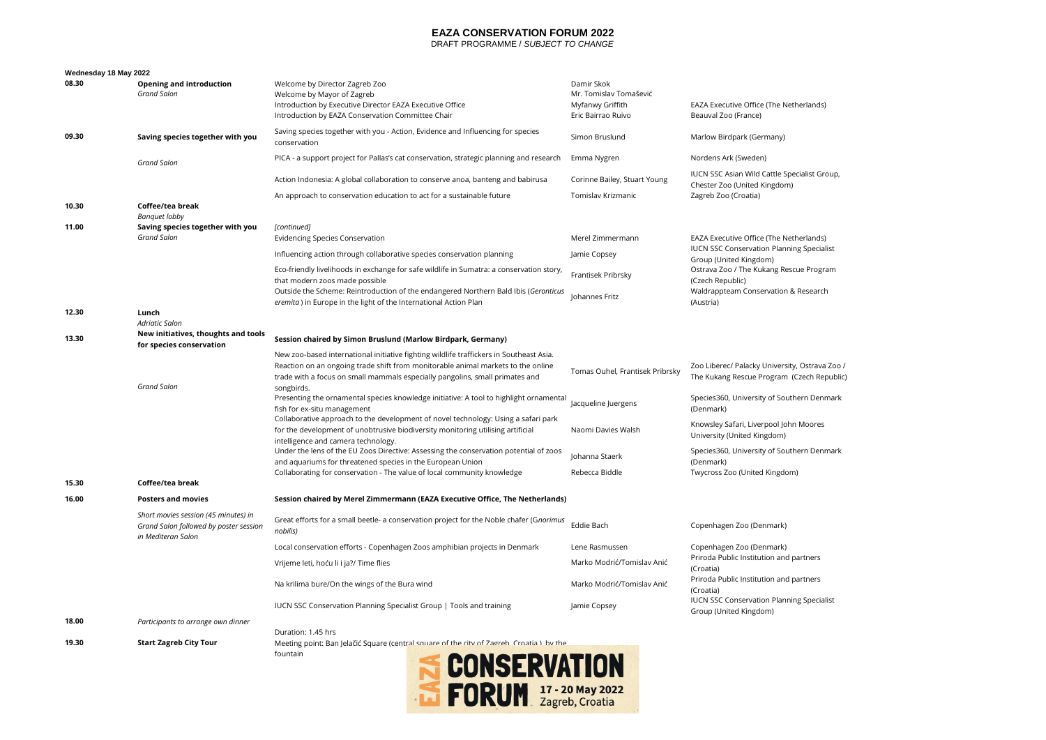## **EAZA CONSERVATION FORUM 2022**

DRAFT PROGRAMME / *SUBJECT TO CHANGE*

| Wednesday 18 May 2022 |
|-----------------------|
|-----------------------|

| 08.30 | <b>Opening and introduction</b><br><b>Grand Salon</b>                                                | Welcome by Director Zagreb Zoo<br>Welcome by Mayor of Zagreb<br>Introduction by Executive Director EAZA Executive Office<br>Introduction by EAZA Conservation Committee Chair                                                                               | Damir Skok<br>Mr. Tomislav Tomašević<br>Myfanwy Griffith<br>Eric Bairrao Ruivo | EAZA Executive Office (The Netherlands)<br>Beauval Zoo (France)                              |
|-------|------------------------------------------------------------------------------------------------------|-------------------------------------------------------------------------------------------------------------------------------------------------------------------------------------------------------------------------------------------------------------|--------------------------------------------------------------------------------|----------------------------------------------------------------------------------------------|
| 09.30 | Saving species together with you                                                                     | Saving species together with you - Action, Evidence and Influencing for species<br>conservation                                                                                                                                                             | Simon Bruslund                                                                 | Marlow Birdpark (Germany)                                                                    |
|       | <b>Grand Salon</b>                                                                                   | PICA - a support project for Pallas's cat conservation, strategic planning and research                                                                                                                                                                     | Emma Nygren                                                                    | Nordens Ark (Sweden)                                                                         |
|       |                                                                                                      | Action Indonesia: A global collaboration to conserve anoa, banteng and babirusa                                                                                                                                                                             | Corinne Bailey, Stuart Young                                                   | IUCN SSC Asian Wild Cattle Specialist Group,<br>Chester Zoo (United Kingdom)                 |
|       |                                                                                                      | An approach to conservation education to act for a sustainable future                                                                                                                                                                                       | Tomislav Krizmanic                                                             | Zagreb Zoo (Croatia)                                                                         |
| 10.30 | Coffee/tea break<br><b>Banquet lobby</b>                                                             |                                                                                                                                                                                                                                                             |                                                                                |                                                                                              |
| 11.00 | Saving species together with you                                                                     | [continued]                                                                                                                                                                                                                                                 |                                                                                |                                                                                              |
|       | <b>Grand Salon</b>                                                                                   | <b>Evidencing Species Conservation</b>                                                                                                                                                                                                                      | Merel Zimmermann                                                               | EAZA Executive Office (The Netherlands)<br><b>IUCN SSC Conservation Planning Specialist</b>  |
|       |                                                                                                      | Influencing action through collaborative species conservation planning                                                                                                                                                                                      | Jamie Copsey                                                                   | Group (United Kingdom)                                                                       |
|       |                                                                                                      | Eco-friendly livelihoods in exchange for safe wildlife in Sumatra: a conservation story,<br>that modern zoos made possible                                                                                                                                  | Frantisek Pribrsky                                                             | Ostrava Zoo / The Kukang Rescue Program<br>(Czech Republic)                                  |
|       |                                                                                                      | Outside the Scheme: Reintroduction of the endangered Northern Bald Ibis (Geronticus<br>eremita) in Europe in the light of the International Action Plan                                                                                                     | Johannes Fritz                                                                 | Waldrappteam Conservation & Research<br>(Austria)                                            |
| 12.30 | Lunch                                                                                                |                                                                                                                                                                                                                                                             |                                                                                |                                                                                              |
|       | <b>Adriatic Salon</b><br>New initiatives, thoughts and tools                                         |                                                                                                                                                                                                                                                             |                                                                                |                                                                                              |
| 13.30 | for species conservation                                                                             | Session chaired by Simon Bruslund (Marlow Birdpark, Germany)                                                                                                                                                                                                |                                                                                |                                                                                              |
|       |                                                                                                      | New zoo-based international initiative fighting wildlife traffickers in Southeast Asia.<br>Reaction on an ongoing trade shift from monitorable animal markets to the online<br>trade with a focus on small mammals especially pangolins, small primates and | Tomas Ouhel, Frantisek Pribrsky                                                | Zoo Liberec/ Palacky University, Ostrava Zoo /<br>The Kukang Rescue Program (Czech Republic) |
|       | <b>Grand Salon</b>                                                                                   | songbirds.<br>Presenting the ornamental species knowledge initiative: A tool to highlight ornamental<br>fish for ex-situ management                                                                                                                         | Jacqueline Juergens                                                            | Species360, University of Southern Denmark<br>(Denmark)                                      |
|       |                                                                                                      | Collaborative approach to the development of novel technology: Using a safari park<br>for the development of unobtrusive biodiversity monitoring utilising artificial<br>intelligence and camera technology.                                                | Naomi Davies Walsh                                                             | Knowsley Safari, Liverpool John Moores<br>University (United Kingdom)                        |
|       |                                                                                                      | Under the lens of the EU Zoos Directive: Assessing the conservation potential of zoos<br>and aquariums for threatened species in the European Union                                                                                                         | Johanna Staerk                                                                 | Species360, University of Southern Denmark<br>(Denmark)                                      |
| 15.30 | Coffee/tea break                                                                                     | Collaborating for conservation - The value of local community knowledge                                                                                                                                                                                     | Rebecca Biddle                                                                 | Twycross Zoo (United Kingdom)                                                                |
| 16.00 | <b>Posters and movies</b>                                                                            | Session chaired by Merel Zimmermann (EAZA Executive Office, The Netherlands)                                                                                                                                                                                |                                                                                |                                                                                              |
|       |                                                                                                      |                                                                                                                                                                                                                                                             |                                                                                |                                                                                              |
|       | Short movies session (45 minutes) in<br>Grand Salon followed by poster session<br>in Mediteran Salon | Great efforts for a small beetle- a conservation project for the Noble chafer (Gnorimus<br>nobilis)                                                                                                                                                         | Eddie Bach                                                                     | Copenhagen Zoo (Denmark)                                                                     |
|       |                                                                                                      | Local conservation efforts - Copenhagen Zoos amphibian projects in Denmark                                                                                                                                                                                  | Lene Rasmussen                                                                 | Copenhagen Zoo (Denmark)                                                                     |
|       |                                                                                                      | Vrijeme leti, hoću li i ja?/ Time flies                                                                                                                                                                                                                     | Marko Modrić/Tomislav Anić                                                     | Priroda Public Institution and partners<br>(Croatia)                                         |
|       |                                                                                                      | Na krilima bure/On the wings of the Bura wind                                                                                                                                                                                                               | Marko Modrić/Tomislav Anić                                                     | Priroda Public Institution and partners<br>(Croatia)                                         |
|       |                                                                                                      | IUCN SSC Conservation Planning Specialist Group   Tools and training                                                                                                                                                                                        | Jamie Copsey                                                                   | <b>IUCN SSC Conservation Planning Specialist</b><br>Group (United Kingdom)                   |
| 18.00 | Participants to arrange own dinner                                                                   |                                                                                                                                                                                                                                                             |                                                                                |                                                                                              |
| 19.30 | <b>Start Zagreb City Tour</b>                                                                        | Duration: 1.45 hrs<br>Meeting point: Ban Jelačić Square (central square of the city of Zagreb. Croatia ), by the<br>fountain<br><b>SAIR</b>                                                                                                                 |                                                                                |                                                                                              |

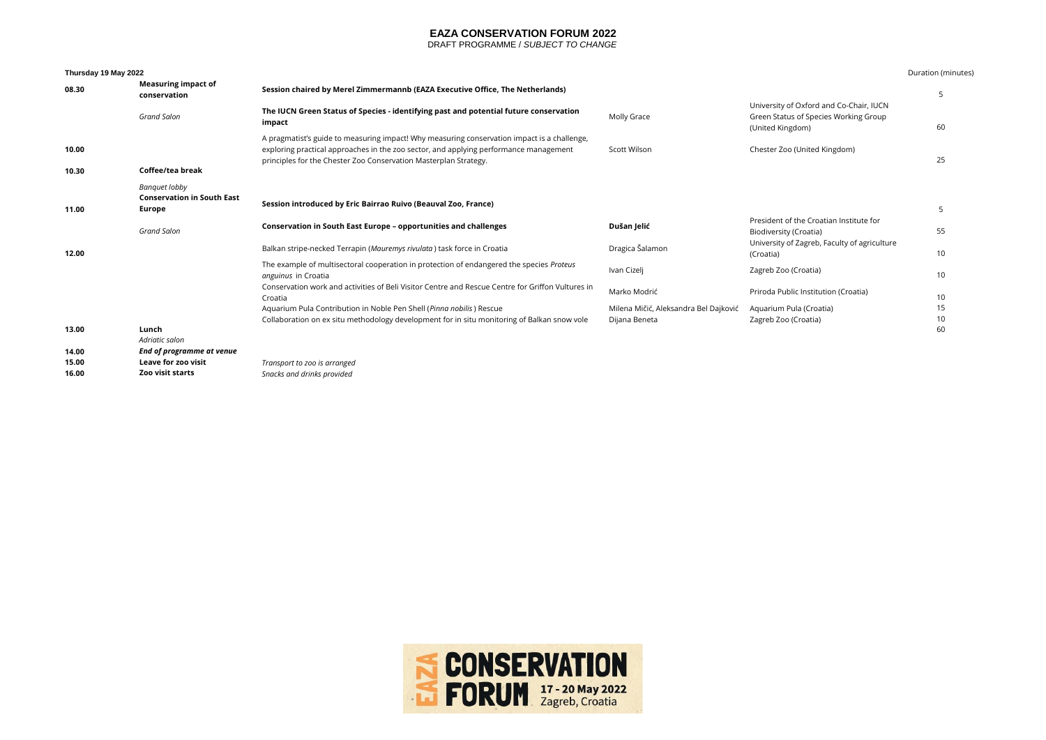### **EAZA CONSERVATION FORUM 2022**

DRAFT PROGRAMME / *SUBJECT TO CHANGE*

### **Thursday 19 May 2022** Duration (minutes)

| 08.30 | <b>Measuring impact of</b><br>conservation                   | Session chaired by Merel Zimmermannb (EAZA Executive Office, The Netherlands)                                                                                                                                                                            |                                                        |                                                                                                      | 5        |
|-------|--------------------------------------------------------------|----------------------------------------------------------------------------------------------------------------------------------------------------------------------------------------------------------------------------------------------------------|--------------------------------------------------------|------------------------------------------------------------------------------------------------------|----------|
|       | <b>Grand Salon</b>                                           | The IUCN Green Status of Species - identifying past and potential future conservation<br>impact                                                                                                                                                          | Molly Grace                                            | University of Oxford and Co-Chair, IUCN<br>Green Status of Species Working Group<br>(United Kingdom) | 60       |
| 10.00 |                                                              | A pragmatist's guide to measuring impact! Why measuring conservation impact is a challenge,<br>exploring practical approaches in the zoo sector, and applying performance management<br>principles for the Chester Zoo Conservation Masterplan Strategy. | Scott Wilson                                           | Chester Zoo (United Kingdom)                                                                         | 25       |
| 10.30 | Coffee/tea break                                             |                                                                                                                                                                                                                                                          |                                                        |                                                                                                      |          |
| 11.00 | Banquet lobby<br><b>Conservation in South East</b><br>Europe | Session introduced by Eric Bairrao Ruivo (Beauval Zoo, France)                                                                                                                                                                                           |                                                        |                                                                                                      | 5        |
|       | <b>Grand Salon</b>                                           | Conservation in South East Europe - opportunities and challenges                                                                                                                                                                                         | Dušan Jelić                                            | President of the Croatian Institute for<br>Biodiversity (Croatia)                                    | 55       |
| 12.00 |                                                              | Balkan stripe-necked Terrapin (Mauremys rivulata) task force in Croatia                                                                                                                                                                                  | Dragica Šalamon                                        | University of Zagreb, Faculty of agriculture<br>(Croatia)                                            | 10       |
|       |                                                              | The example of multisectoral cooperation in protection of endangered the species Proteus<br>anguinus in Croatia                                                                                                                                          | Ivan Cizeli                                            | Zagreb Zoo (Croatia)                                                                                 | 10       |
|       |                                                              | Conservation work and activities of Beli Visitor Centre and Rescue Centre for Griffon Vultures in<br>Croatia                                                                                                                                             | Marko Modrić                                           | Priroda Public Institution (Croatia)                                                                 | 10       |
|       |                                                              | Aquarium Pula Contribution in Noble Pen Shell (Pinna nobilis) Rescue<br>Collaboration on ex situ methodology development for in situ monitoring of Balkan snow vole                                                                                      | Milena Mičić, Aleksandra Bel Dajković<br>Dijana Beneta | Aguarium Pula (Croatia)<br>Zagreb Zoo (Croatia)                                                      | 15<br>10 |
| 13.00 | Lunch<br>Adriatic salon                                      |                                                                                                                                                                                                                                                          |                                                        |                                                                                                      | 60       |
| 14.00 | End of programme at venue                                    |                                                                                                                                                                                                                                                          |                                                        |                                                                                                      |          |
| 15.00 | Leave for zoo visit                                          | Transport to zoo is arranged                                                                                                                                                                                                                             |                                                        |                                                                                                      |          |
| 16.00 | <b>Zoo visit starts</b>                                      | Snacks and drinks provided                                                                                                                                                                                                                               |                                                        |                                                                                                      |          |

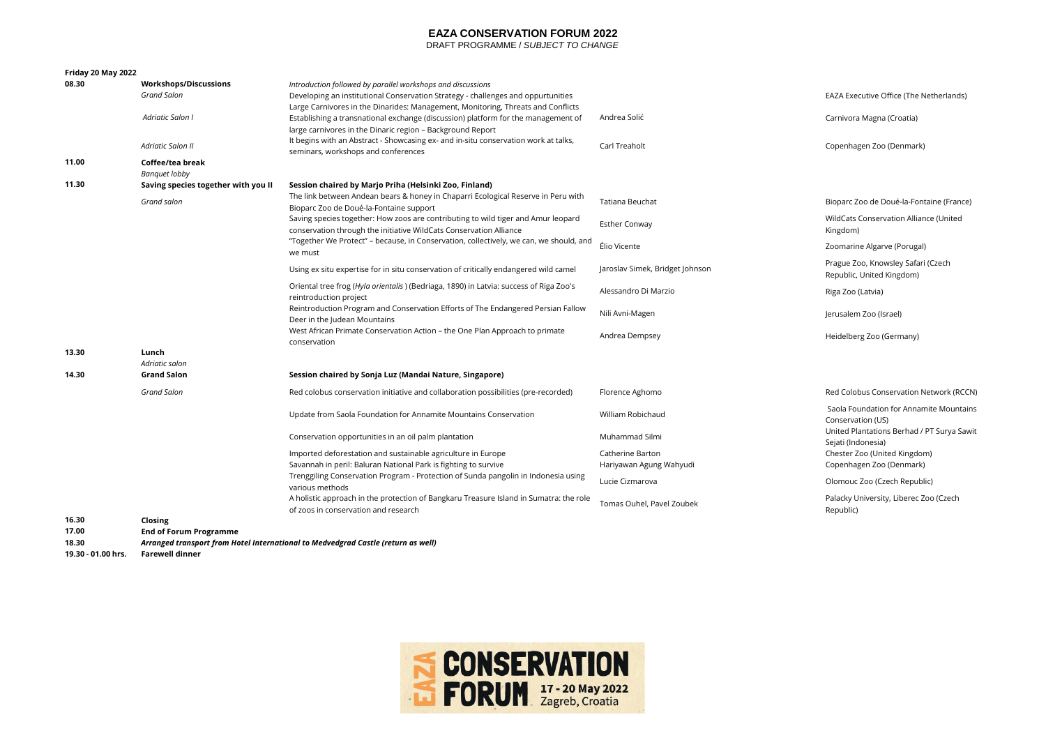### **EAZA CONSERVATION FORUM 2022**

DRAFT PROGRAMME / *SUBJECT TO CHANGE*

| Friday 20 May 2022 |                                                    |                                                                                                                                                                                                                                     |                                             |                                                                  |  |  |
|--------------------|----------------------------------------------------|-------------------------------------------------------------------------------------------------------------------------------------------------------------------------------------------------------------------------------------|---------------------------------------------|------------------------------------------------------------------|--|--|
| 08.30              | <b>Workshops/Discussions</b><br><b>Grand Salon</b> | Introduction followed by parallel workshops and discussions<br>Developing an institutional Conservation Strategy - challenges and oppurtunities<br>Large Carnivores in the Dinarides: Management, Monitoring, Threats and Conflicts |                                             | EAZA Executive Office (The Netherlands)                          |  |  |
|                    | Adriatic Salon I                                   | Establishing a transnational exchange (discussion) platform for the management of<br>large carnivores in the Dinaric region - Background Report                                                                                     | Andrea Solić                                | Carnivora Magna (Croatia)                                        |  |  |
|                    | <b>Adriatic Salon II</b>                           | It begins with an Abstract - Showcasing ex- and in-situ conservation work at talks,<br>seminars, workshops and conferences                                                                                                          | Carl Treaholt                               | Copenhagen Zoo (Denmark)                                         |  |  |
| 11.00              | Coffee/tea break<br><b>Banquet lobby</b>           |                                                                                                                                                                                                                                     |                                             |                                                                  |  |  |
| 11.30              | Saving species together with you II                | Session chaired by Marjo Priha (Helsinki Zoo, Finland)                                                                                                                                                                              |                                             |                                                                  |  |  |
|                    | Grand salon                                        | The link between Andean bears & honey in Chaparri Ecological Reserve in Peru with<br>Bioparc Zoo de Doué-la-Fontaine support                                                                                                        | Tatiana Beuchat                             | Bioparc Zoo de Doué-la-Fontaine (France)                         |  |  |
|                    |                                                    | Saving species together: How zoos are contributing to wild tiger and Amur leopard<br>conservation through the initiative WildCats Conservation Alliance                                                                             | <b>Esther Conway</b>                        | WildCats Conservation Alliance (United<br>Kingdom)               |  |  |
|                    |                                                    | "Together We Protect" - because, in Conservation, collectively, we can, we should, and<br>we must                                                                                                                                   | Élio Vicente                                | Zoomarine Algarve (Porugal)                                      |  |  |
|                    |                                                    | Using ex situ expertise for in situ conservation of critically endangered wild camel                                                                                                                                                | Jaroslav Simek, Bridget Johnson             | Prague Zoo, Knowsley Safari (Czech<br>Republic, United Kingdom)  |  |  |
|                    |                                                    | Oriental tree frog (Hyla orientalis) (Bedriaga, 1890) in Latvia: success of Riga Zoo's<br>reintroduction project                                                                                                                    | Alessandro Di Marzio                        | Riga Zoo (Latvia)                                                |  |  |
|                    |                                                    | Reintroduction Program and Conservation Efforts of The Endangered Persian Fallow<br>Deer in the Judean Mountains                                                                                                                    | Nili Avni-Magen                             | Jerusalem Zoo (Israel)                                           |  |  |
|                    |                                                    | West African Primate Conservation Action - the One Plan Approach to primate<br>conservation                                                                                                                                         | Andrea Dempsey                              | Heidelberg Zoo (Germany)                                         |  |  |
| 13.30              | Lunch                                              |                                                                                                                                                                                                                                     |                                             |                                                                  |  |  |
|                    | Adriatic salon                                     |                                                                                                                                                                                                                                     |                                             |                                                                  |  |  |
| 14.30              | <b>Grand Salon</b>                                 | Session chaired by Sonja Luz (Mandai Nature, Singapore)                                                                                                                                                                             |                                             |                                                                  |  |  |
|                    | <b>Grand Salon</b>                                 | Red colobus conservation initiative and collaboration possibilities (pre-recorded)                                                                                                                                                  | Florence Aghomo                             | Red Colobus Conservation Network (RCCN)                          |  |  |
|                    |                                                    | Update from Saola Foundation for Annamite Mountains Conservation                                                                                                                                                                    | William Robichaud                           | Saola Foundation for Annamite Mountains<br>Conservation (US)     |  |  |
|                    |                                                    | Conservation opportunities in an oil palm plantation                                                                                                                                                                                | Muhammad Silmi                              | United Plantations Berhad / PT Surya Sawit<br>Sejati (Indonesia) |  |  |
|                    |                                                    | Imported deforestation and sustainable agriculture in Europe<br>Savannah in peril: Baluran National Park is fighting to survive                                                                                                     | Catherine Barton<br>Hariyawan Agung Wahyudi | Chester Zoo (United Kingdom)<br>Copenhagen Zoo (Denmark)         |  |  |
|                    |                                                    | Trenggiling Conservation Program - Protection of Sunda pangolin in Indonesia using<br>various methods                                                                                                                               | Lucie Cizmarova                             | Olomouc Zoo (Czech Republic)                                     |  |  |
|                    |                                                    | A holistic approach in the protection of Bangkaru Treasure Island in Sumatra: the role<br>of zoos in conservation and research                                                                                                      | Tomas Ouhel, Pavel Zoubek                   | Palacky University, Liberec Zoo (Czech<br>Republic)              |  |  |
| 16.30              | Closing                                            |                                                                                                                                                                                                                                     |                                             |                                                                  |  |  |
| 17.00              | <b>End of Forum Programme</b>                      |                                                                                                                                                                                                                                     |                                             |                                                                  |  |  |
| 18.30              |                                                    | Arranged transport from Hotel International to Medvedgrad Castle (return as well)                                                                                                                                                   |                                             |                                                                  |  |  |
| 19.30 - 01.00 hrs. | <b>Farewell dinner</b>                             |                                                                                                                                                                                                                                     |                                             |                                                                  |  |  |